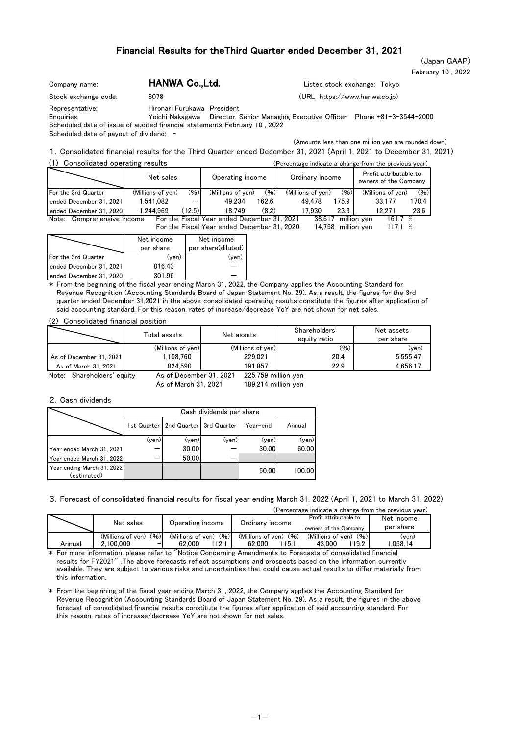# Financial Results for theThird Quarter ended December 31, 2021

February 10 , 2022 (Japan GAAP)

| Company name:                 | HANWA Co., Ltd.             |                                                                                   | Listed stock exchange: Tokvo |
|-------------------------------|-----------------------------|-----------------------------------------------------------------------------------|------------------------------|
| Stock exchange code:          | 8078                        | $(URL https://www.hanwa.co.jp)$                                                   |                              |
| Representative:<br>Enquiries: | Hironari Furukawa President | Yoichi Nakagawa Director, Senior Managing Executive Officer Phone +81-3-3544-2000 |                              |

Scheduled date of issue of audited financial statements: February 10 , 2022 Scheduled date of payout of dividend: -

(Amounts less than one million yen are rounded down)

#### (1) Consolidated operating results (Percentage indicate a change from the previous year) 1.Consolidated financial results for the Third Quarter ended December 31, 2021 (April 1, 2021 to December 31, 2021)

| $\sqrt{11}$<br><b>CONSOMUGLED ODERALITIE RESULTS</b> |                   |        |                                             |                 |                   |                                                 | (Percentage indicate a change from the previous vear) |       |
|------------------------------------------------------|-------------------|--------|---------------------------------------------|-----------------|-------------------|-------------------------------------------------|-------------------------------------------------------|-------|
|                                                      | Net sales         |        | Operating income                            | Ordinary income |                   | Profit attributable to<br>owners of the Company |                                                       |       |
| For the 3rd Quarter                                  | (Millions of ven) | (96)   | (Millions of ven)                           | (96)            | (Millions of yen) | (96)                                            | (Millions of ven)                                     | (96)  |
| ended December 31, 2021                              | 1.541.082         |        | 49.234                                      | 162.6           | 49.478            | 175.9                                           | 33.177                                                | 170.4 |
| ended December 31, 2020                              | 1.244.969         | (12.5) | 18.749                                      | (8.2)           | 17.930            | 23.3                                            | 12.271                                                | 23.6  |
| Note: Comprehensive income                           |                   |        | For the Fiscal Year ended December 31, 2021 |                 |                   | 38.617                                          | million ven<br>161.7 %                                |       |

For the Fiscal Year ended December 31, 2020 14,758 million yen 117.1 % 117.1

|                         | Net income<br>per share | Net income<br>per share(diluted) |
|-------------------------|-------------------------|----------------------------------|
| For the 3rd Quarter     | (ven)                   | (ven)                            |
| ended December 31, 2021 | 816.43                  |                                  |
| ended December 31, 2020 | 301.96                  |                                  |

\* From the beginning of the fiscal year ending March 31, 2022, the Company applies the Accounting Standard for Revenue Recognition (Accounting Standards Board of Japan Statement No. 29). As a result, the figures for the 3rd quarter ended December 31,2021 in the above consolidated operating results constitute the figures after application of said accounting standard. For this reason, rates of increase/decrease YoY are not shown for net sales.

(2) Consolidated financial position

|                            | Total assets            | Net assets          | Shareholders'<br>equity ratio | Net assets<br>per share |  |  |
|----------------------------|-------------------------|---------------------|-------------------------------|-------------------------|--|--|
|                            | (Millions of yen)       | (Millions of yen)   | (96)                          | (ven)                   |  |  |
| As of December 31, 2021    | 1.108.760               | 229.021             | 20.4                          | 5.555.47                |  |  |
| As of March 31, 2021       | 824.590                 | 191.857             | 22.9                          | 4.656.17                |  |  |
| Note: Shareholders' equity | As of December 31, 2021 | 225,759 million yen |                               |                         |  |  |

189,214 million yen

#### 2.Cash dividends

|                                           |       |                                     | Cash dividends per share |          |        |
|-------------------------------------------|-------|-------------------------------------|--------------------------|----------|--------|
|                                           |       | 1st Quarter 2nd Quarter 3rd Quarter |                          | Year-end | Annual |
|                                           | (yen) | (yen)                               | (yen)                    | (yen)    | (yen)  |
| Year ended March 31, 2021                 |       | 30.00                               |                          | 30.00    | 60.00  |
| Year ended March 31, 2022                 |       | 50.00                               |                          |          |        |
| Year ending March 31, 2022<br>(estimated) |       |                                     |                          | 50.00    | 100.00 |

As of March 31, 2021

3.Forecast of consolidated financial results for fiscal year ending March 31, 2022 (April 1, 2021 to March 31, 2022)

|        |                           |                           |                           | (Percentage indicate a change from the previous vear) |            |
|--------|---------------------------|---------------------------|---------------------------|-------------------------------------------------------|------------|
|        | Net sales                 | Operating income          | Ordinary income           | Profit attributable to                                | Net income |
|        |                           |                           |                           | owners of the Company                                 | per share  |
|        | (96)<br>(Millions of ven) | (96)<br>(Millions of yen) | (96)<br>(Millions of ven) | (96)<br>(Millions of ven)                             | (ven)      |
| Annual | 2.100.000<br>-            | 12.1<br>62.000            | 115.1<br>62.000           | 119.2 <sub>1</sub><br>43.000                          | .058.14    |

\* For more information, please refer to "Notice Concerning Amendments to Forecasts of consolidated financial results for FY2021" .The above forecasts reflect assumptions and prospects based on the information currently available. They are subject to various risks and uncertainties that could cause actual results to differ materially from this information.

\* From the beginning of the fiscal year ending March 31, 2022, the Company applies the Accounting Standard for Revenue Recognition (Accounting Standards Board of Japan Statement No. 29). As a result, the figures in the above forecast of consolidated financial results constitute the figures after application of said accounting standard. For this reason, rates of increase/decrease YoY are not shown for net sales.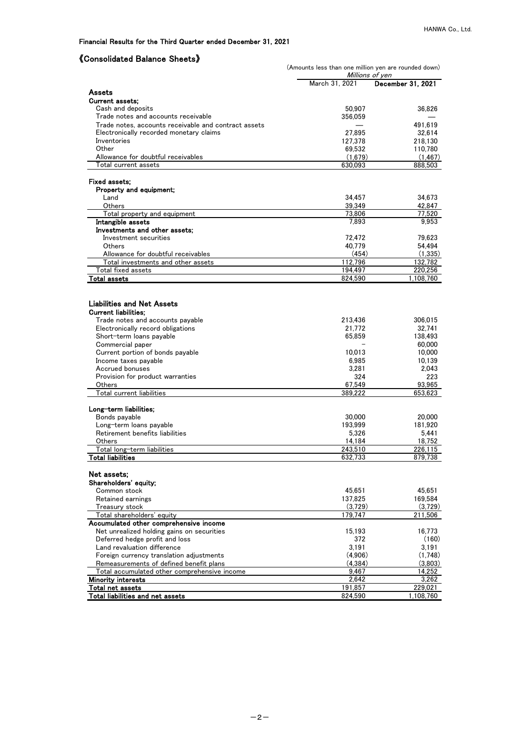## Financial Results for the Third Quarter ended December 31, 2021

# 《Consolidated Balance Sheets》

|                                                                                                 | (Amounts less than one million yen are rounded down)<br>Millions of ven |                   |  |  |  |  |
|-------------------------------------------------------------------------------------------------|-------------------------------------------------------------------------|-------------------|--|--|--|--|
|                                                                                                 | March 31, 2021                                                          | December 31, 2021 |  |  |  |  |
| Assets                                                                                          |                                                                         |                   |  |  |  |  |
| Current assets:                                                                                 |                                                                         |                   |  |  |  |  |
| Cash and deposits                                                                               | 50,907                                                                  | 36,826            |  |  |  |  |
| Trade notes and accounts receivable                                                             | 356,059                                                                 |                   |  |  |  |  |
| Trade notes, accounts receivable and contract assets<br>Electronically recorded monetary claims | 27,895                                                                  | 491.619<br>32,614 |  |  |  |  |
| Inventories                                                                                     | 127,378                                                                 | 218,130           |  |  |  |  |
| Other                                                                                           | 69,532                                                                  | 110,780           |  |  |  |  |
| Allowance for doubtful receivables                                                              | (1,679)                                                                 | (1, 467)          |  |  |  |  |
| Total current assets                                                                            | 630,093                                                                 | 888,503           |  |  |  |  |
| Fixed assets:                                                                                   |                                                                         |                   |  |  |  |  |
| Property and equipment;                                                                         |                                                                         |                   |  |  |  |  |
| Land                                                                                            | 34,457                                                                  | 34,673            |  |  |  |  |
| Others                                                                                          | 39,349                                                                  | 42,847            |  |  |  |  |
| Total property and equipment                                                                    | 73,806                                                                  | 77.520            |  |  |  |  |
| Intangible assets                                                                               | 7,893                                                                   | 9,953             |  |  |  |  |
| Investments and other assets;                                                                   |                                                                         |                   |  |  |  |  |
| Investment securities                                                                           | 72,472                                                                  | 79,623            |  |  |  |  |
| <b>Others</b>                                                                                   | 40,779                                                                  | 54,494            |  |  |  |  |
| Allowance for doubtful receivables                                                              | (454)                                                                   | (1,335)           |  |  |  |  |
| Total investments and other assets                                                              | 112,796                                                                 | 132,782           |  |  |  |  |
| Total fixed assets                                                                              | 194,497                                                                 | 220,256           |  |  |  |  |
| Total assets                                                                                    | 824,590                                                                 | 1.108.760         |  |  |  |  |
|                                                                                                 |                                                                         |                   |  |  |  |  |
| <b>Liabilities and Net Assets</b>                                                               |                                                                         |                   |  |  |  |  |
| <b>Current liabilities:</b>                                                                     |                                                                         |                   |  |  |  |  |
| Trade notes and accounts payable                                                                | 213,436                                                                 | 306,015           |  |  |  |  |
| Electronically record obligations                                                               | 21,772                                                                  | 32,741            |  |  |  |  |
| Short-term loans payable<br>Commercial paper                                                    | 65,859                                                                  | 138,493<br>60,000 |  |  |  |  |
| Current portion of bonds payable                                                                | 10,013                                                                  | 10,000            |  |  |  |  |
| Income taxes payable                                                                            | 6,985                                                                   | 10,139            |  |  |  |  |
| Accrued bonuses                                                                                 | 3,281                                                                   | 2,043             |  |  |  |  |
| Provision for product warranties                                                                | 324                                                                     | 223               |  |  |  |  |
| Others                                                                                          | 67,549                                                                  | 93,965            |  |  |  |  |
| Total current liabilities                                                                       | 389,222                                                                 | 653,623           |  |  |  |  |
|                                                                                                 |                                                                         |                   |  |  |  |  |
| Long-term liabilities;                                                                          |                                                                         |                   |  |  |  |  |
| Bonds payable                                                                                   | 30,000                                                                  | 20,000            |  |  |  |  |
| Long-term loans payable<br>Retirement benefits liabilities                                      | 193,999                                                                 | 181,920           |  |  |  |  |
| Others                                                                                          | 5,326<br>14,184                                                         | 5,441<br>18,752   |  |  |  |  |
| Total long-term liabilities                                                                     | 243,510                                                                 | 226,115           |  |  |  |  |
| <b>Total liabilities</b>                                                                        | 632,733                                                                 | 879,738           |  |  |  |  |
|                                                                                                 |                                                                         |                   |  |  |  |  |
| Net assets:                                                                                     |                                                                         |                   |  |  |  |  |
| Shareholders' equity:                                                                           |                                                                         |                   |  |  |  |  |
| Common stock                                                                                    | 45.651                                                                  | 45,651            |  |  |  |  |
| Retained earnings                                                                               | 137,825                                                                 | 169,584           |  |  |  |  |
| Treasury stock                                                                                  | (3,729)                                                                 | (3,729)           |  |  |  |  |
| Total shareholders' equity                                                                      | 179,747                                                                 | 211,506           |  |  |  |  |
| Accumulated other comprehensive income<br>Net unrealized holding gains on securities            |                                                                         |                   |  |  |  |  |
| Deferred hedge profit and loss                                                                  | 15,193<br>372                                                           | 16,773<br>(160)   |  |  |  |  |
| Land revaluation difference                                                                     | 3,191                                                                   | 3,191             |  |  |  |  |
| Foreign currency translation adjustments                                                        | (4,906)                                                                 | (1,748)           |  |  |  |  |
| Remeasurements of defined benefit plans                                                         | (4, 384)                                                                | (3,803)           |  |  |  |  |
| Total accumulated other comprehensive income                                                    | 9,467                                                                   | 14,252            |  |  |  |  |
| Minority interests                                                                              | 2,642                                                                   | 3,262             |  |  |  |  |
| Total net assets                                                                                | 191,857                                                                 | 229,021           |  |  |  |  |
| <u>Total liabilities and net assets</u>                                                         | 824,590                                                                 | 1,108,760         |  |  |  |  |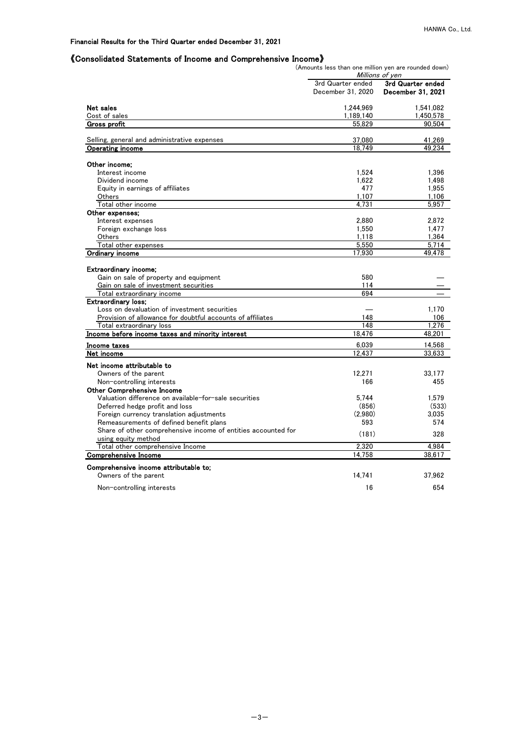### Financial Results for the Third Quarter ended December 31, 2021

#### 《Consolidated Statements of Income and Comprehensive Income》

(Amounts less than one million yen are rounded down)

|                                                               |                                        | Millions of yen                        |
|---------------------------------------------------------------|----------------------------------------|----------------------------------------|
|                                                               | 3rd Quarter ended<br>December 31, 2020 | 3rd Quarter ended<br>December 31, 2021 |
| Net sales                                                     | 1,244,969                              | 1,541,082                              |
| Cost of sales                                                 | 1,189,140                              | 1,450,578                              |
| Gross profit                                                  | 55.829                                 | 90.504                                 |
| Selling, general and administrative expenses                  | 37,080                                 | 41,269                                 |
| Operating income                                              | 18.749                                 | 49.234                                 |
| Other income:                                                 |                                        |                                        |
| Interest income                                               | 1.524                                  | 1.396                                  |
| Dividend income                                               | 1,622                                  | 1,498                                  |
| Equity in earnings of affiliates                              | 477                                    | 1.955                                  |
| Others                                                        | 1,107                                  | 1,106                                  |
| Total other income                                            | 4.731                                  | 5.957                                  |
| Other expenses;                                               |                                        |                                        |
| Interest expenses                                             | 2.880                                  | 2.872                                  |
| Foreign exchange loss                                         | 1.550                                  | 1.477                                  |
| Others                                                        | 1,118                                  | 1.364                                  |
| Total other expenses                                          | 5,550                                  | 5.714                                  |
| Ordinary income                                               | 17,930                                 | 49.478                                 |
| <b>Extraordinary income:</b>                                  |                                        |                                        |
| Gain on sale of property and equipment                        | 580                                    |                                        |
| Gain on sale of investment securities                         | 114                                    |                                        |
| Total extraordinary income                                    | 694                                    |                                        |
| Extraordinary loss:                                           |                                        |                                        |
| Loss on devaluation of investment securities                  |                                        | 1.170                                  |
| Provision of allowance for doubtful accounts of affiliates    | 148                                    | 106                                    |
| Total extraordinary loss                                      | 148                                    | 1.276                                  |
| Income before income taxes and minority interest              | 18,476                                 | 48,201                                 |
| Income taxes                                                  | 6.039                                  | 14.568                                 |
| Net income                                                    | 12,437                                 | 33,633                                 |
| Net income attributable to                                    |                                        |                                        |
| Owners of the parent                                          | 12,271                                 | 33.177                                 |
| Non-controlling interests                                     | 166                                    | 455                                    |
| <b>Other Comprehensive Income</b>                             |                                        |                                        |
| Valuation difference on available-for-sale securities         | 5.744                                  | 1,579                                  |
| Deferred hedge profit and loss                                | (856)                                  | (533)                                  |
| Foreign currency translation adjustments                      | (2.980)                                | 3.035                                  |
| Remeasurements of defined benefit plans                       | 593                                    | 574                                    |
| Share of other comprehensive income of entities accounted for | (181)                                  | 328                                    |
| using equity method                                           |                                        |                                        |
| Total other comprehensive Income                              | 2.320                                  | 4.984                                  |
| <b>Comprehensive Income</b>                                   | 14.758                                 | 38,617                                 |
| Comprehensive income attributable to:                         |                                        |                                        |
| Owners of the parent                                          | 14.741                                 | 37.962                                 |
| Non-controlling interests                                     | 16                                     | 654                                    |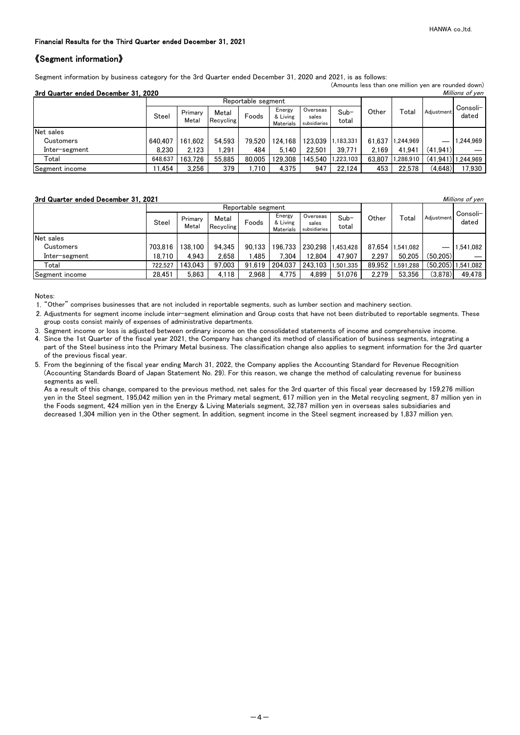(Amounts less than one million yen are rounded down)

#### Financial Results for the Third Quarter ended December 31, 2021

## 《Segment information》

Segment information by business category for the 3rd Quarter ended December 31, 2020 and 2021, is as follows:

| 3rd Quarter ended December 31, 2020<br>Millions of yen |                    |                  |                    |        |                                 |                                   |                 |        |           |              |                   |
|--------------------------------------------------------|--------------------|------------------|--------------------|--------|---------------------------------|-----------------------------------|-----------------|--------|-----------|--------------|-------------------|
|                                                        | Reportable segment |                  |                    |        |                                 |                                   |                 |        |           |              |                   |
|                                                        | Steel              | Primary<br>Metal | Metal<br>Recycling | Foods  | Energy<br>& Living<br>Materials | Overseas<br>sales<br>subsidiaries | $Sub-$<br>total | Other  | Total     | Adiustment   | Consoli-<br>dated |
| Net sales                                              |                    |                  |                    |        |                                 |                                   |                 |        |           |              |                   |
| Customers                                              | 640.407            | 161.602          | 54.593             | 79.520 | 124.168                         | 123.039                           | .183.331        | 61.637 | 1.244.969 |              | 1.244.969         |
| Inter-segment                                          | 8.230              | 2.123            | .291               | 484    | 5.140                           | 22.501                            | 39.771          | 2.169  | 41.941    | (41.941)     |                   |
| Total                                                  | 648.637            | 163.726          | 55.885             | 80,005 | 129.308                         | 145.540                           | .223.103        | 63.807 | 1,286,910 | $(41.941)$ 1 | 1.244.969         |
| Segment income                                         | 1.454              | 3.256            | 379                | 1.710  | 4.375                           | 947                               | 22.124          | 453    | 22.578    | (4,648)      | 17,930            |

#### **3rd Quarter ended December 31, 2021** Millions of yen

|                |              |                  |                    | Reportable segment |                                 |                                   |                 |        |                  |            |                      |
|----------------|--------------|------------------|--------------------|--------------------|---------------------------------|-----------------------------------|-----------------|--------|------------------|------------|----------------------|
|                | <b>Steel</b> | Primary<br>Metal | Metal<br>Recycling | Foods              | Energy<br>& Living<br>Materials | Overseas<br>sales<br>subsidiaries | $Sub-$<br>total | Other  | Total            | Adiustment | Consoli-<br>dated    |
| Net sales      |              |                  |                    |                    |                                 |                                   |                 |        |                  |            |                      |
| Customers      | 703.816      | 138.100          | 94.345             | 90.133             | 196.733                         | 230.298                           | .453.428        |        | 87.654 1.541.082 |            | 1.541.082            |
| Inter-segment  | 18.710       | 4.943            | 2.658              | .485               | 7.304                           | 12.804                            | 47.907          | 2.297  | 50.205           | (50.205)   |                      |
| Total          | 722.527      | 143.043          | 97.003             | 91.619             | 204.037                         | 243.103                           | .501.335        | 89.952 | 1.591.288        |            | $(50.205)$ 1,541,082 |
| Segment income | 28.451       | 5.863            | 4.118              | 2.968              | 4.775                           | 4.899                             | 51.076          | 2.279  | 53.356           | (3,878)    | 49.478               |

Notes:

1. "Other" comprises businesses that are not included in reportable segments, such as lumber section and machinery section.

2. Adjustments for segment income include inter-segment elimination and Group costs that have not been distributed to reportable segments. These group costs consist mainly of expenses of administrative departments.

3. Segment income or loss is adjusted between ordinary income on the consolidated statements of income and comprehensive income. 4. Since the 1st Quarter of the fiscal year 2021, the Company has changed its method of classification of business segments, integrating a part of the Steel business into the Primary Metal business. The classification change also applies to segment information for the 3rd quarter of the previous fiscal year.

5. From the beginning of the fiscal year ending March 31, 2022, the Company applies the Accounting Standard for Revenue Recognition (Accounting Standards Board of Japan Statement No. 29). For this reason, we change the method of calculating revenue for business segments as well.

As a result of this change, compared to the previous method, net sales for the 3rd quarter of this fiscal year decreased by 159,276 million yen in the Steel segment, 195,042 million yen in the Primary metal segment, 617 million yen in the Metal recycling segment, 87 million yen in the Foods segment, 424 million yen in the Energy & Living Materials segment, 32,787 million yen in overseas sales subsidiaries and decreased 1,304 million yen in the Other segment. In addition, segment income in the Steel segment increased by 1,837 million yen.